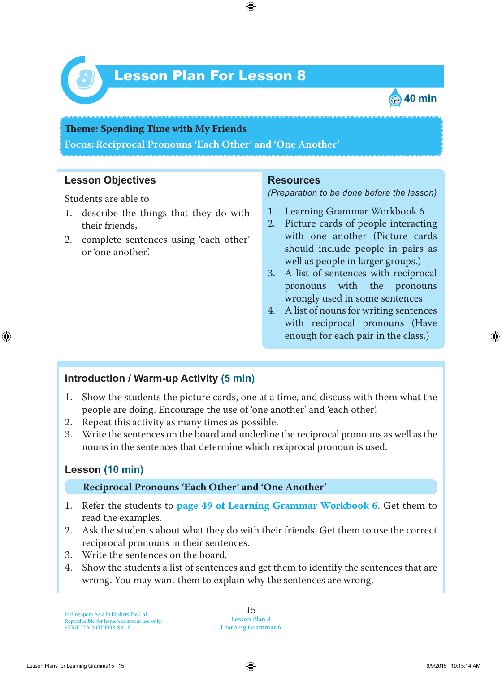



**Teme : Spending Time with My Friends Focus: Reciprocal Pronouns 'Each Other' and 'One Another'**

### **Lesson Objectives**

Students are able to

- 1. describe the things that they do with their friends,
- 2. complete sentences using 'each other' or 'one another'.

#### **Resources**

*(Preparation to be done before the lesson)*

- 1. Learning Grammar Workbook 6
- 2. Picture cards of people interacting with one another (Picture cards should include people in pairs as well as people in larger groups.)
- 3. A list of sentences with reciprocal pronouns with the pronouns wrongly used in some sentences
- 4. A list of nouns for writing sentences with reciprocal pronouns (Have enough for each pair in the class.)

## **Introduction / Warm-up Activity (5 min)**

- 1 . Show the students the picture cards, one at a time, and discuss with them what the people are doing. Encourage the use of 'one another' and 'each other'.
- 2. Repeat this activity as many times as possible.
- 3. Write the sentences on the board and underline the reciprocal pronouns as well as the nouns in the sentences that determine which reciprocal pronoun is used.

## **Lesson (10 min)**

#### **Reciprocal Pronouns 'Each Other' and 'One Another'**

- 1 . Refer the students to **page 49 of Learning Grammar Workbook 6** . Get them to read the examples.
- 2. Ask the students about what they do with their friends. Get them to use the correct reciprocal pronouns in their sentences.
- 3. Write the sentences on the board.
- 4. Show the students a list of sentences and get them to identify the sentences that are wrong. You may want them to explain why the sentences are wrong.